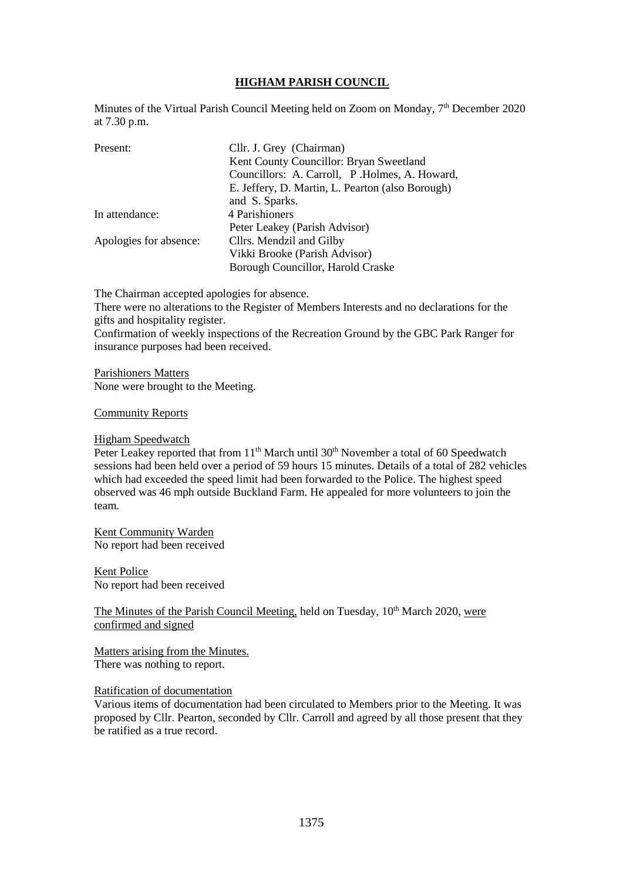# **HIGHAM PARISH COUNCIL**

Minutes of the Virtual Parish Council Meeting held on Zoom on Monday,  $7<sup>th</sup>$  December 2020 at 7.30 p.m.

| Present:               | Cllr. J. Grey (Chairman)                         |
|------------------------|--------------------------------------------------|
|                        | Kent County Councillor: Bryan Sweetland          |
|                        | Councillors: A. Carroll, P. Holmes, A. Howard,   |
|                        | E. Jeffery, D. Martin, L. Pearton (also Borough) |
|                        | and S. Sparks.                                   |
| In attendance:         | 4 Parishioners                                   |
|                        | Peter Leakey (Parish Advisor)                    |
| Apologies for absence: | Cllrs. Mendzil and Gilby                         |
|                        | Vikki Brooke (Parish Advisor)                    |
|                        | Borough Councillor, Harold Craske                |

The Chairman accepted apologies for absence. There were no alterations to the Register of Members Interests and no declarations for the gifts and hospitality register. Confirmation of weekly inspections of the Recreation Ground by the GBC Park Ranger for insurance purposes had been received.

Parishioners Matters None were brought to the Meeting.

#### Community Reports

#### Higham Speedwatch

Peter Leakey reported that from 11<sup>th</sup> March until 30<sup>th</sup> November a total of 60 Speedwatch sessions had been held over a period of 59 hours 15 minutes. Details of a total of 282 vehicles which had exceeded the speed limit had been forwarded to the Police. The highest speed observed was 46 mph outside Buckland Farm. He appealed for more volunteers to join the team.

Kent Community Warden No report had been received

Kent Police No report had been received

The Minutes of the Parish Council Meeting, held on Tuesday,  $10<sup>th</sup>$  March 2020, were confirmed and signed

Matters arising from the Minutes. There was nothing to report.

#### Ratification of documentation

Various items of documentation had been circulated to Members prior to the Meeting. It was proposed by Cllr. Pearton, seconded by Cllr. Carroll and agreed by all those present that they be ratified as a true record.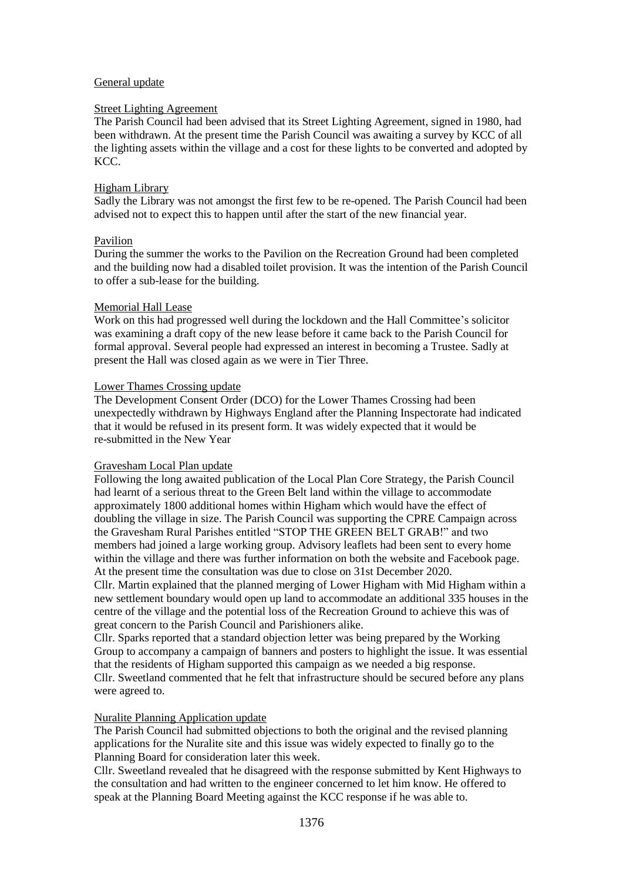### General update

## Street Lighting Agreement

The Parish Council had been advised that its Street Lighting Agreement, signed in 1980, had been withdrawn. At the present time the Parish Council was awaiting a survey by KCC of all the lighting assets within the village and a cost for these lights to be converted and adopted by KCC.

## Higham Library

Sadly the Library was not amongst the first few to be re-opened. The Parish Council had been advised not to expect this to happen until after the start of the new financial year.

# Pavilion

During the summer the works to the Pavilion on the Recreation Ground had been completed and the building now had a disabled toilet provision. It was the intention of the Parish Council to offer a sub-lease for the building.

# Memorial Hall Lease

Work on this had progressed well during the lockdown and the Hall Committee's solicitor was examining a draft copy of the new lease before it came back to the Parish Council for formal approval. Several people had expressed an interest in becoming a Trustee. Sadly at present the Hall was closed again as we were in Tier Three.

# Lower Thames Crossing update

The Development Consent Order (DCO) for the Lower Thames Crossing had been unexpectedly withdrawn by Highways England after the Planning Inspectorate had indicated that it would be refused in its present form. It was widely expected that it would be re-submitted in the New Year

### Gravesham Local Plan update

Following the long awaited publication of the Local Plan Core Strategy, the Parish Council had learnt of a serious threat to the Green Belt land within the village to accommodate approximately 1800 additional homes within Higham which would have the effect of doubling the village in size. The Parish Council was supporting the CPRE Campaign across the Gravesham Rural Parishes entitled "STOP THE GREEN BELT GRAB!" and two members had joined a large working group. Advisory leaflets had been sent to every home within the village and there was further information on both the website and Facebook page. At the present time the consultation was due to close on 31st December 2020.

Cllr. Martin explained that the planned merging of Lower Higham with Mid Higham within a new settlement boundary would open up land to accommodate an additional 335 houses in the centre of the village and the potential loss of the Recreation Ground to achieve this was of great concern to the Parish Council and Parishioners alike.

Cllr. Sparks reported that a standard objection letter was being prepared by the Working Group to accompany a campaign of banners and posters to highlight the issue. It was essential that the residents of Higham supported this campaign as we needed a big response. Cllr. Sweetland commented that he felt that infrastructure should be secured before any plans were agreed to.

### Nuralite Planning Application update

The Parish Council had submitted objections to both the original and the revised planning applications for the Nuralite site and this issue was widely expected to finally go to the Planning Board for consideration later this week.

Cllr. Sweetland revealed that he disagreed with the response submitted by Kent Highways to the consultation and had written to the engineer concerned to let him know. He offered to speak at the Planning Board Meeting against the KCC response if he was able to.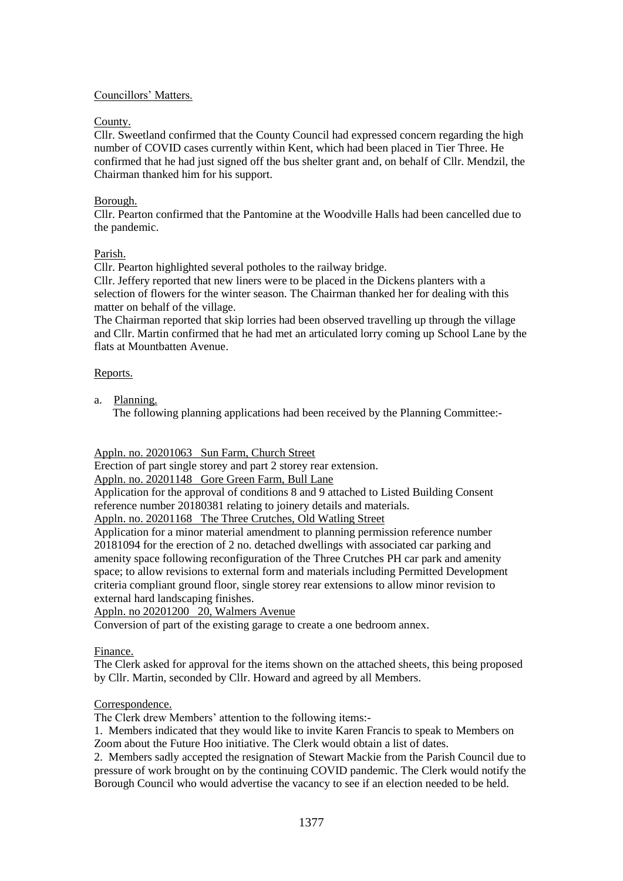# Councillors' Matters.

# County.

Cllr. Sweetland confirmed that the County Council had expressed concern regarding the high number of COVID cases currently within Kent, which had been placed in Tier Three. He confirmed that he had just signed off the bus shelter grant and, on behalf of Cllr. Mendzil, the Chairman thanked him for his support.

# Borough.

Cllr. Pearton confirmed that the Pantomine at the Woodville Halls had been cancelled due to the pandemic.

# Parish.

Cllr. Pearton highlighted several potholes to the railway bridge.

Cllr. Jeffery reported that new liners were to be placed in the Dickens planters with a selection of flowers for the winter season. The Chairman thanked her for dealing with this matter on behalf of the village.

The Chairman reported that skip lorries had been observed travelling up through the village and Cllr. Martin confirmed that he had met an articulated lorry coming up School Lane by the flats at Mountbatten Avenue.

# Reports.

a. Planning.

The following planning applications had been received by the Planning Committee:-

Appln. no. 20201063 Sun Farm, Church Street

Erection of part single storey and part 2 storey rear extension.

Appln. no. 20201148 Gore Green Farm, Bull Lane

Application for the approval of conditions 8 and 9 attached to Listed Building Consent reference number 20180381 relating to joinery details and materials.

Appln. no. 20201168 The Three Crutches, Old Watling Street

Application for a minor material amendment to planning permission reference number 20181094 for the erection of 2 no. detached dwellings with associated car parking and amenity space following reconfiguration of the Three Crutches PH car park and amenity space; to allow revisions to external form and materials including Permitted Development criteria compliant ground floor, single storey rear extensions to allow minor revision to external hard landscaping finishes.

Appln. no 20201200 20, Walmers Avenue

Conversion of part of the existing garage to create a one bedroom annex.

### Finance.

The Clerk asked for approval for the items shown on the attached sheets, this being proposed by Cllr. Martin, seconded by Cllr. Howard and agreed by all Members.

### Correspondence.

The Clerk drew Members' attention to the following items:-

1. Members indicated that they would like to invite Karen Francis to speak to Members on Zoom about the Future Hoo initiative. The Clerk would obtain a list of dates.

2. Members sadly accepted the resignation of Stewart Mackie from the Parish Council due to pressure of work brought on by the continuing COVID pandemic. The Clerk would notify the Borough Council who would advertise the vacancy to see if an election needed to be held.